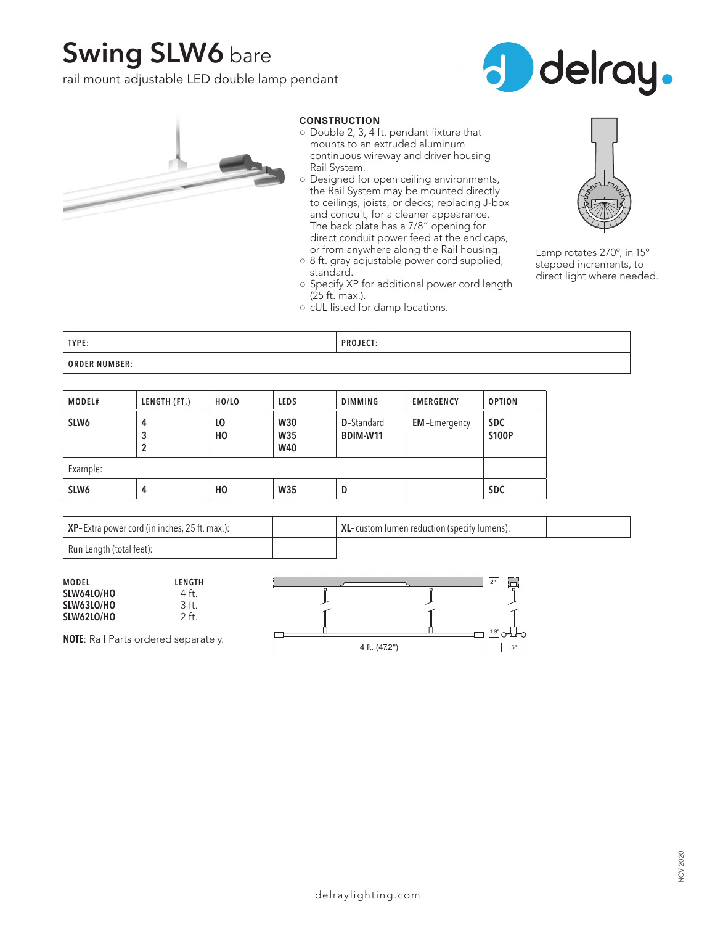# **Swing SLW6** bare

rail mount adjustable LED double lamp pendant





## **CONSTRUCTION**

- Double 2, 3, 4 ft. pendant fixture that mounts to an extruded aluminum continuous wireway and driver housing Rail System.
- Designed for open ceiling environments, the Rail System may be mounted directly to ceilings, joists, or decks; replacing J-box and conduit, for a cleaner appearance. The back plate has a 7/8" opening for direct conduit power feed at the end caps, or from anywhere along the Rail housing.
- 8 ft. gray adjustable power cord supplied, standard.
- Specify XP for additional power cord length (25 ft. max.).
- cUL listed for damp locations.



Lamp rotates 270º, in 15º stepped increments, to direct light where needed.

| TYPE:                | <b>PROJECT:</b> |
|----------------------|-----------------|
| <b>ORDER NUMBER:</b> |                 |

| <b>MODEL#</b>    | LENGTH (FT.) | HO/LO    | <b>LEDS</b>                     | <b>DIMMING</b>                 | <b>EMERGENCY</b>    | <b>OPTION</b>              |
|------------------|--------------|----------|---------------------------------|--------------------------------|---------------------|----------------------------|
| SLW <sub>6</sub> | 4<br>3<br>2  | LO<br>HO | <b>W30</b><br>W35<br><b>W40</b> | <b>D</b> -Standard<br>BDIM-W11 | <b>EM-Emergency</b> | <b>SDC</b><br><b>S100P</b> |
| Example:         |              |          |                                 |                                |                     |                            |
| SLW <sub>6</sub> | 4            | HO       | <b>W35</b>                      | D                              |                     | <b>SDC</b>                 |

| XP-Extra power cord (in inches, 25 ft. max.): | XL-custom lumen reduction (specify lumens): |  |
|-----------------------------------------------|---------------------------------------------|--|
| Run Length (total feet):                      |                                             |  |

| <b>MODEL</b> | LENGTH                                      | $\sim$        |    |
|--------------|---------------------------------------------|---------------|----|
| SLW64LO/HO   |                                             |               |    |
| SLW63LO/HO   |                                             |               |    |
| SLW62LO/HO   | $^{+}$                                      |               |    |
|              |                                             | 1.9"          |    |
|              | <b>NOTE:</b> Rail Parts ordered separately. | 4 ft. (47.2") | 5" |